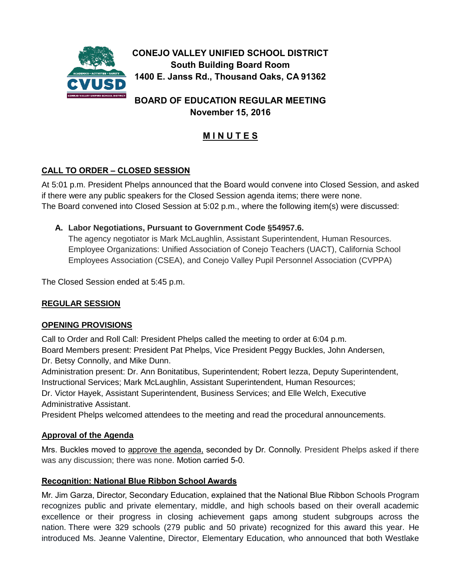

**BOARD OF EDUCATION REGULAR MEETING November 15, 2016**

# **M I N U T E S**

# **CALL TO ORDER – CLOSED SESSION**

At 5:01 p.m. President Phelps announced that the Board would convene into Closed Session, and asked if there were any public speakers for the Closed Session agenda items; there were none. The Board convened into Closed Session at 5:02 p.m., where the following item(s) were discussed:

# **A. Labor Negotiations, Pursuant to Government Code §54957.6.**

The agency negotiator is Mark McLaughlin, Assistant Superintendent, Human Resources. Employee Organizations: Unified Association of Conejo Teachers (UACT), California School Employees Association (CSEA), and Conejo Valley Pupil Personnel Association (CVPPA)

The Closed Session ended at 5:45 p.m.

# **REGULAR SESSION**

# **OPENING PROVISIONS**

Call to Order and Roll Call: President Phelps called the meeting to order at 6:04 p.m. Board Members present: President Pat Phelps, Vice President Peggy Buckles, John Andersen, Dr. Betsy Connolly, and Mike Dunn.

Administration present: Dr. Ann Bonitatibus, Superintendent; Robert Iezza, Deputy Superintendent, Instructional Services; Mark McLaughlin, Assistant Superintendent, Human Resources;

Dr. Victor Hayek, Assistant Superintendent, Business Services; and Elle Welch, Executive Administrative Assistant.

President Phelps welcomed attendees to the meeting and read the procedural announcements.

# **Approval of the Agenda**

Mrs. Buckles moved to approve the agenda, seconded by Dr. Connolly. President Phelps asked if there was any discussion; there was none. Motion carried 5-0.

# **Recognition: National Blue Ribbon School Awards**

Mr. Jim Garza, Director, Secondary Education, explained that the National Blue Ribbon Schools Program recognizes public and private elementary, middle, and high schools based on their overall academic excellence or their progress in closing achievement gaps among student subgroups across the nation. There were 329 schools (279 public and 50 private) recognized for this award this year. He introduced Ms. Jeanne Valentine, Director, Elementary Education, who announced that both Westlake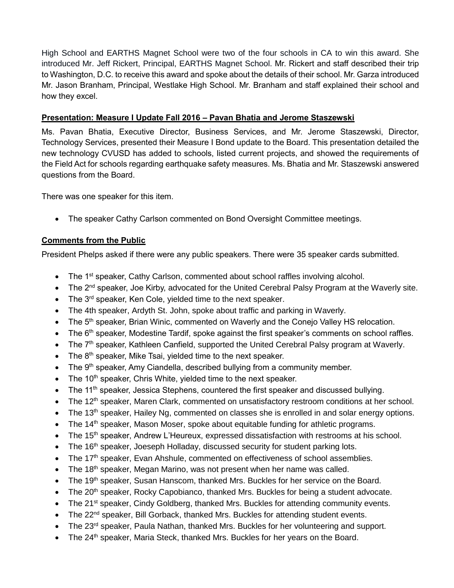High School and EARTHS Magnet School were two of the four schools in CA to win this award. She introduced Mr. Jeff Rickert, Principal, EARTHS Magnet School. Mr. Rickert and staff described their trip to Washington, D.C. to receive this award and spoke about the details of their school. Mr. Garza introduced Mr. Jason Branham, Principal, Westlake High School. Mr. Branham and staff explained their school and how they excel.

#### **Presentation: Measure I Update Fall 2016 – Pavan Bhatia and Jerome Staszewski**

Ms. Pavan Bhatia, Executive Director, Business Services, and Mr. Jerome Staszewski, Director, Technology Services, presented their Measure I Bond update to the Board. This presentation detailed the new technology CVUSD has added to schools, listed current projects, and showed the requirements of the Field Act for schools regarding earthquake safety measures. Ms. Bhatia and Mr. Staszewski answered questions from the Board.

There was one speaker for this item.

The speaker Cathy Carlson commented on Bond Oversight Committee meetings.

# **Comments from the Public**

President Phelps asked if there were any public speakers. There were 35 speaker cards submitted.

- The 1<sup>st</sup> speaker, Cathy Carlson, commented about school raffles involving alcohol.
- The 2<sup>nd</sup> speaker, Joe Kirby, advocated for the United Cerebral Palsy Program at the Waverly site.
- The 3<sup>rd</sup> speaker, Ken Cole, yielded time to the next speaker.
- The 4th speaker, Ardyth St. John, spoke about traffic and parking in Waverly.
- The 5<sup>th</sup> speaker, Brian Winic, commented on Waverly and the Conejo Valley HS relocation.
- The 6<sup>th</sup> speaker, Modestine Tardif, spoke against the first speaker's comments on school raffles.
- The 7<sup>th</sup> speaker, Kathleen Canfield, supported the United Cerebral Palsy program at Waverly.
- $\bullet$  The  $8<sup>th</sup>$  speaker, Mike Tsai, yielded time to the next speaker.
- $\bullet$  The 9<sup>th</sup> speaker, Amy Ciandella, described bullying from a community member.
- $\bullet$  The 10<sup>th</sup> speaker, Chris White, yielded time to the next speaker.
- The 11<sup>th</sup> speaker, Jessica Stephens, countered the first speaker and discussed bullying.
- The 12<sup>th</sup> speaker, Maren Clark, commented on unsatisfactory restroom conditions at her school.
- The 13<sup>th</sup> speaker, Hailey Ng, commented on classes she is enrolled in and solar energy options.
- $\bullet$  The 14<sup>th</sup> speaker, Mason Moser, spoke about equitable funding for athletic programs.
- The 15<sup>th</sup> speaker, Andrew L'Heureux, expressed dissatisfaction with restrooms at his school.
- The  $16<sup>th</sup>$  speaker, Joeseph Holladay, discussed security for student parking lots.
- The 17<sup>th</sup> speaker, Evan Ahshule, commented on effectiveness of school assemblies.
- $\bullet$  The 18<sup>th</sup> speaker, Megan Marino, was not present when her name was called.
- The 19<sup>th</sup> speaker, Susan Hanscom, thanked Mrs. Buckles for her service on the Board.
- The 20<sup>th</sup> speaker, Rocky Capobianco, thanked Mrs. Buckles for being a student advocate.
- The 21<sup>st</sup> speaker, Cindy Goldberg, thanked Mrs. Buckles for attending community events.
- $\bullet$  The 22<sup>nd</sup> speaker, Bill Gorback, thanked Mrs. Buckles for attending student events.
- The 23<sup>rd</sup> speaker, Paula Nathan, thanked Mrs. Buckles for her volunteering and support.
- The 24<sup>th</sup> speaker, Maria Steck, thanked Mrs. Buckles for her years on the Board.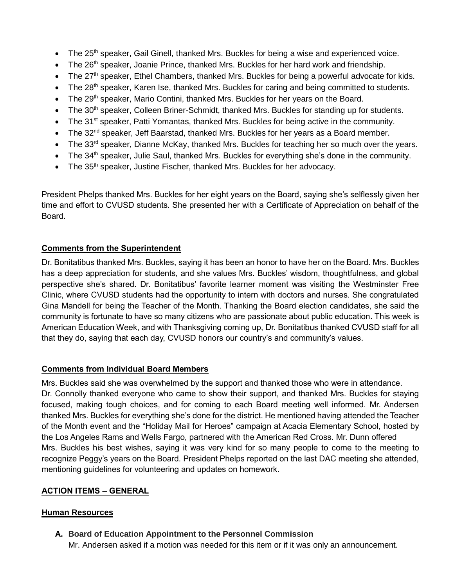- $\bullet$  The 25<sup>th</sup> speaker, Gail Ginell, thanked Mrs. Buckles for being a wise and experienced voice.
- The 26<sup>th</sup> speaker, Joanie Prince, thanked Mrs. Buckles for her hard work and friendship.
- $\bullet$  The 27<sup>th</sup> speaker, Ethel Chambers, thanked Mrs. Buckles for being a powerful advocate for kids.
- The 28<sup>th</sup> speaker, Karen Ise, thanked Mrs. Buckles for caring and being committed to students.
- The 29<sup>th</sup> speaker, Mario Contini, thanked Mrs. Buckles for her years on the Board.
- The 30<sup>th</sup> speaker, Colleen Briner-Schmidt, thanked Mrs. Buckles for standing up for students.
- The 31<sup>st</sup> speaker, Patti Yomantas, thanked Mrs. Buckles for being active in the community.
- The 32<sup>nd</sup> speaker, Jeff Baarstad, thanked Mrs. Buckles for her years as a Board member.
- $\bullet$  The 33<sup>rd</sup> speaker, Dianne McKay, thanked Mrs. Buckles for teaching her so much over the years.
- The 34<sup>th</sup> speaker, Julie Saul, thanked Mrs. Buckles for everything she's done in the community.
- The 35<sup>th</sup> speaker, Justine Fischer, thanked Mrs. Buckles for her advocacy.

President Phelps thanked Mrs. Buckles for her eight years on the Board, saying she's selflessly given her time and effort to CVUSD students. She presented her with a Certificate of Appreciation on behalf of the Board.

# **Comments from the Superintendent**

Dr. Bonitatibus thanked Mrs. Buckles, saying it has been an honor to have her on the Board. Mrs. Buckles has a deep appreciation for students, and she values Mrs. Buckles' wisdom, thoughtfulness, and global perspective she's shared. Dr. Bonitatibus' favorite learner moment was visiting the Westminster Free Clinic, where CVUSD students had the opportunity to intern with doctors and nurses. She congratulated Gina Mandell for being the Teacher of the Month. Thanking the Board election candidates, she said the community is fortunate to have so many citizens who are passionate about public education. This week is American Education Week, and with Thanksgiving coming up, Dr. Bonitatibus thanked CVUSD staff for all that they do, saying that each day, CVUSD honors our country's and community's values.

# **Comments from Individual Board Members**

Mrs. Buckles said she was overwhelmed by the support and thanked those who were in attendance. Dr. Connolly thanked everyone who came to show their support, and thanked Mrs. Buckles for staying focused, making tough choices, and for coming to each Board meeting well informed. Mr. Andersen thanked Mrs. Buckles for everything she's done for the district. He mentioned having attended the Teacher of the Month event and the "Holiday Mail for Heroes" campaign at Acacia Elementary School, hosted by the Los Angeles Rams and Wells Fargo, partnered with the American Red Cross. Mr. Dunn offered Mrs. Buckles his best wishes, saying it was very kind for so many people to come to the meeting to recognize Peggy's years on the Board. President Phelps reported on the last DAC meeting she attended, mentioning guidelines for volunteering and updates on homework.

# **ACTION ITEMS – GENERAL**

# **Human Resources**

**A. Board of Education Appointment to the Personnel Commission**

Mr. Andersen asked if a motion was needed for this item or if it was only an announcement.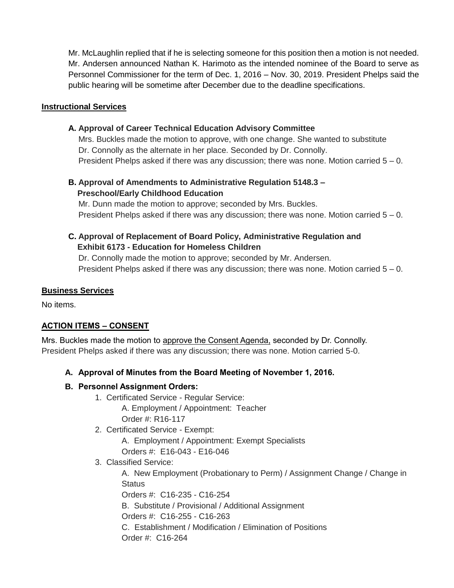Mr. McLaughlin replied that if he is selecting someone for this position then a motion is not needed. Mr. Andersen announced Nathan K. Harimoto as the intended nominee of the Board to serve as Personnel Commissioner for the term of Dec. 1, 2016 – Nov. 30, 2019. President Phelps said the public hearing will be sometime after December due to the deadline specifications.

#### **Instructional Services**

#### **A. Approval of Career Technical Education Advisory Committee**

Mrs. Buckles made the motion to approve, with one change. She wanted to substitute Dr. Connolly as the alternate in her place. Seconded by Dr. Connolly. President Phelps asked if there was any discussion; there was none. Motion carried  $5 - 0$ .

# **B. Approval of Amendments to Administrative Regulation 5148.3 – Preschool/Early Childhood Education**

Mr. Dunn made the motion to approve; seconded by Mrs. Buckles. President Phelps asked if there was any discussion; there was none. Motion carried  $5 - 0$ .

# **C. Approval of Replacement of Board Policy, Administrative Regulation and Exhibit 6173 - Education for Homeless Children**

Dr. Connolly made the motion to approve; seconded by Mr. Andersen. President Phelps asked if there was any discussion; there was none. Motion carried  $5 - 0$ .

#### **Business Services**

No items.

# **ACTION ITEMS – CONSENT**

Mrs. Buckles made the motion to approve the Consent Agenda, seconded by Dr. Connolly. President Phelps asked if there was any discussion; there was none. Motion carried 5-0.

# **A. Approval of Minutes from the Board Meeting of November 1, 2016.**

# **B. Personnel Assignment Orders:**

1. Certificated Service - Regular Service:

 A. Employment / Appointment: Teacher Order #: R16-117

2. Certificated Service - Exempt:

 A. Employment / Appointment: Exempt Specialists Orders #: E16-043 - E16-046

3. Classified Service:

A. New Employment (Probationary to Perm) / Assignment Change / Change in **Status** 

Orders #: C16-235 - C16-254

B. Substitute / Provisional / Additional Assignment

Orders #: C16-255 - C16-263

 C. Establishment / Modification / Elimination of Positions Order #: C16-264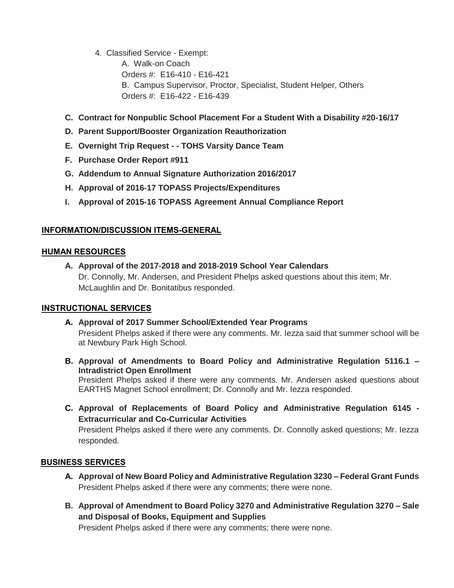4. Classified Service - Exempt:

 A. Walk-on Coach Orders #: E16-410 - E16-421 B. Campus Supervisor, Proctor, Specialist, Student Helper, Others Orders #: E16-422 - E16-439

- **C. Contract for Nonpublic School Placement For a Student With a Disability #20-16/17**
- **D. Parent Support/Booster Organization Reauthorization**
- **E. Overnight Trip Request - - TOHS Varsity Dance Team**
- **F. Purchase Order Report #911**
- **G. Addendum to Annual Signature Authorization 2016/2017**
- **H. Approval of 2016-17 TOPASS Projects/Expenditures**
- **I. Approval of 2015-16 TOPASS Agreement Annual Compliance Report**

# **INFORMATION/DISCUSSION ITEMS-GENERAL**

#### **HUMAN RESOURCES**

**A. Approval of the 2017-2018 and 2018-2019 School Year Calendars** Dr. Connolly, Mr. Andersen, and President Phelps asked questions about this item; Mr. McLaughlin and Dr. Bonitatibus responded.

# **INSTRUCTIONAL SERVICES**

**A. Approval of 2017 Summer School/Extended Year Programs** President Phelps asked if there were any comments. Mr. Iezza said that summer school will be

at Newbury Park High School.

**B. Approval of Amendments to Board Policy and Administrative Regulation 5116.1 – Intradistrict Open Enrollment**

President Phelps asked if there were any comments. Mr. Andersen asked questions about EARTHS Magnet School enrollment; Dr. Connolly and Mr. Iezza responded.

**C. Approval of Replacements of Board Policy and Administrative Regulation 6145 - Extracurricular and Co-Curricular Activities**

President Phelps asked if there were any comments. Dr. Connolly asked questions; Mr. Iezza responded.

# **BUSINESS SERVICES**

- **A. Approval of New Board Policy and Administrative Regulation 3230 – Federal Grant Funds** President Phelps asked if there were any comments; there were none.
- **B. Approval of Amendment to Board Policy 3270 and Administrative Regulation 3270 – Sale and Disposal of Books, Equipment and Supplies**

President Phelps asked if there were any comments; there were none.